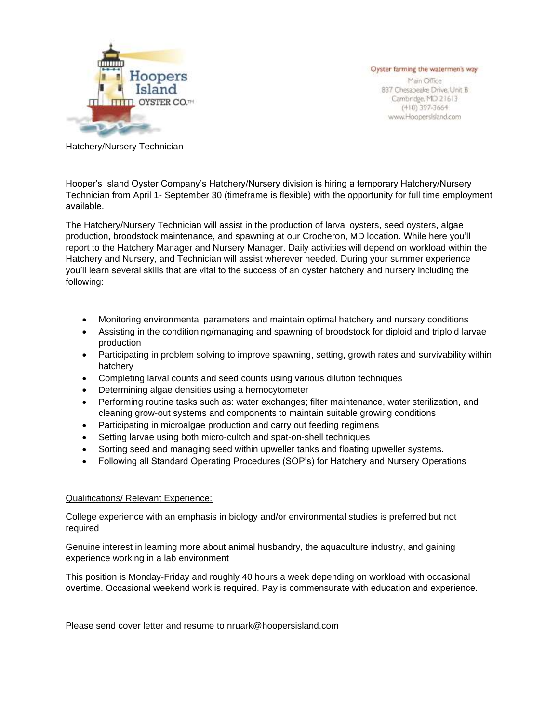

Oyster farming the watermen's way

Main Office 837 Chesapeake Drive, Unit B Cambridge, MD 21613  $(410)$  397-3664 www.Hoopersisland.com

Hatchery/Nursery Technician

Hooper's Island Oyster Company's Hatchery/Nursery division is hiring a temporary Hatchery/Nursery Technician from April 1- September 30 (timeframe is flexible) with the opportunity for full time employment available.

The Hatchery/Nursery Technician will assist in the production of larval oysters, seed oysters, algae production, broodstock maintenance, and spawning at our Crocheron, MD location. While here you'll report to the Hatchery Manager and Nursery Manager. Daily activities will depend on workload within the Hatchery and Nursery, and Technician will assist wherever needed. During your summer experience you'll learn several skills that are vital to the success of an oyster hatchery and nursery including the following:

- Monitoring environmental parameters and maintain optimal hatchery and nursery conditions
- Assisting in the conditioning/managing and spawning of broodstock for diploid and triploid larvae production
- Participating in problem solving to improve spawning, setting, growth rates and survivability within hatchery
- Completing larval counts and seed counts using various dilution techniques
- Determining algae densities using a hemocytometer
- Performing routine tasks such as: water exchanges; filter maintenance, water sterilization, and cleaning grow-out systems and components to maintain suitable growing conditions
- Participating in microalgae production and carry out feeding regimens
- Setting larvae using both micro-cultch and spat-on-shell techniques
- Sorting seed and managing seed within upweller tanks and floating upweller systems.
- Following all Standard Operating Procedures (SOP's) for Hatchery and Nursery Operations

## Qualifications/ Relevant Experience:

College experience with an emphasis in biology and/or environmental studies is preferred but not required

Genuine interest in learning more about animal husbandry, the aquaculture industry, and gaining experience working in a lab environment

This position is Monday-Friday and roughly 40 hours a week depending on workload with occasional overtime. Occasional weekend work is required. Pay is commensurate with education and experience.

Please send cover letter and resume to nruark@hoopersisland.com